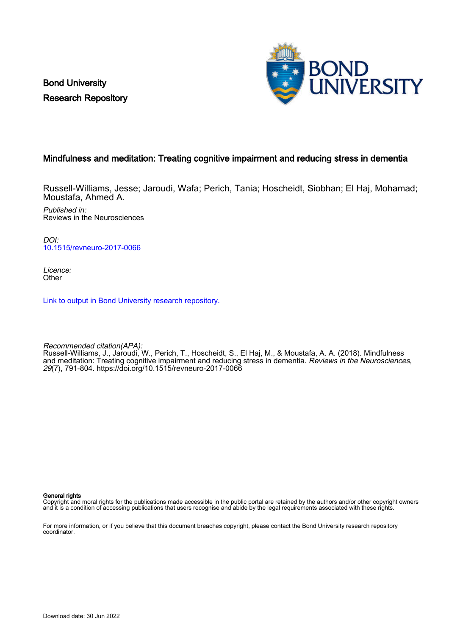Bond University Research Repository



## Mindfulness and meditation: Treating cognitive impairment and reducing stress in dementia

Russell-Williams, Jesse; Jaroudi, Wafa; Perich, Tania; Hoscheidt, Siobhan; El Haj, Mohamad; Moustafa, Ahmed A.

Published in: Reviews in the Neurosciences

DOI: [10.1515/revneuro-2017-0066](https://doi.org/10.1515/revneuro-2017-0066)

Licence: **Other** 

[Link to output in Bond University research repository.](https://research.bond.edu.au/en/publications/941c0ca9-d8e6-40f4-a164-c4f47ee96238)

Recommended citation(APA): Russell-Williams, J., Jaroudi, W., Perich, T., Hoscheidt, S., El Haj, M., & Moustafa, A. A. (2018). Mindfulness and meditation: Treating cognitive impairment and reducing stress in dementia. Reviews in the Neurosciences, 29(7), 791-804.<https://doi.org/10.1515/revneuro-2017-0066>

General rights

Copyright and moral rights for the publications made accessible in the public portal are retained by the authors and/or other copyright owners and it is a condition of accessing publications that users recognise and abide by the legal requirements associated with these rights.

For more information, or if you believe that this document breaches copyright, please contact the Bond University research repository coordinator.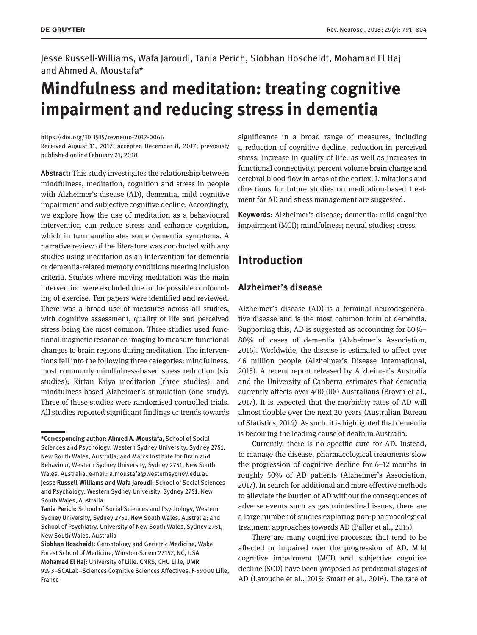Jesse Russell-Williams, Wafa Jaroudi, Tania Perich, Siobhan Hoscheidt, Mohamad El Haj and Ahmed A. Moustafa\*

# **Mindfulness and meditation: treating cognitive impairment and reducing stress in dementia**

<https://doi.org/10.1515/revneuro-2017-0066> Received August 11, 2017; accepted December 8, 2017; previously published online February 21, 2018

**Abstract:** This study investigates the relationship between mindfulness, meditation, cognition and stress in people with Alzheimer's disease (AD), dementia, mild cognitive impairment and subjective cognitive decline. Accordingly, we explore how the use of meditation as a behavioural intervention can reduce stress and enhance cognition, which in turn ameliorates some dementia symptoms. A narrative review of the literature was conducted with any studies using meditation as an intervention for dementia or dementia-related memory conditions meeting inclusion criteria. Studies where moving meditation was the main intervention were excluded due to the possible confounding of exercise. Ten papers were identified and reviewed. There was a broad use of measures across all studies, with cognitive assessment, quality of life and perceived stress being the most common. Three studies used functional magnetic resonance imaging to measure functional changes to brain regions during meditation. The interventions fell into the following three categories: mindfulness, most commonly mindfulness-based stress reduction (six studies); Kirtan Kriya meditation (three studies); and mindfulness-based Alzheimer's stimulation (one study). Three of these studies were randomised controlled trials. All studies reported significant findings or trends towards significance in a broad range of measures, including a reduction of cognitive decline, reduction in perceived stress, increase in quality of life, as well as increases in functional connectivity, percent volume brain change and cerebral blood flow in areas of the cortex. Limitations and directions for future studies on meditation-based treatment for AD and stress management are suggested.

**Keywords:** Alzheimer's disease; dementia; mild cognitive impairment (MCI); mindfulness; neural studies; stress.

# **Introduction**

## **Alzheimer's disease**

Alzheimer's disease (AD) is a terminal neurodegenerative disease and is the most common form of dementia. Supporting this, AD is suggested as accounting for 60%– 80% of cases of dementia (Alzheimer's Association, 2016). Worldwide, the disease is estimated to affect over 46 million people (Alzheimer's Disease International, 2015). A recent report released by Alzheimer's Australia and the University of Canberra estimates that dementia currently affects over 400 000 Australians (Brown et al., 2017). It is expected that the morbidity rates of AD will almost double over the next 20 years (Australian Bureau of Statistics, 2014). As such, it is highlighted that dementia is becoming the leading cause of death in Australia.

Currently, there is no specific cure for AD. Instead, to manage the disease, pharmacological treatments slow the progression of cognitive decline for 6–12 months in roughly 50% of AD patients (Alzheimer's Association, 2017). In search for additional and more effective methods to alleviate the burden of AD without the consequences of adverse events such as gastrointestinal issues, there are a large number of studies exploring non-pharmacological treatment approaches towards AD (Paller et al., 2015).

There are many cognitive processes that tend to be affected or impaired over the progression of AD. Mild cognitive impairment (MCI) and subjective cognitive decline (SCD) have been proposed as prodromal stages of AD (Larouche et al., 2015; Smart et al., 2016). The rate of

**<sup>\*</sup>Corresponding author: Ahmed A. Moustafa,** School of Social Sciences and Psychology, Western Sydney University, Sydney 2751, New South Wales, Australia; and Marcs Institute for Brain and Behaviour, Western Sydney University, Sydney 2751, New South Wales, Australia, e-mail: [a.moustafa@westernsydney.edu.au](mailto:a.moustafa@westernsydney.edu.au) **Jesse Russell-Williams and Wafa Jaroudi:** School of Social Sciences and Psychology, Western Sydney University, Sydney 2751, New South Wales, Australia

**Tania Perich:** School of Social Sciences and Psychology, Western Sydney University, Sydney 2751, New South Wales, Australia; and School of Psychiatry, University of New South Wales, Sydney 2751, New South Wales, Australia

**Siobhan Hoscheidt:** Gerontology and Geriatric Medicine, Wake Forest School of Medicine, Winston-Salem 27157, NC, USA **Mohamad El Haj:** University of Lille, CNRS, CHU Lille, UMR 9193–SCALab–Sciences Cognitive Sciences Affectives, F-59000 Lille, France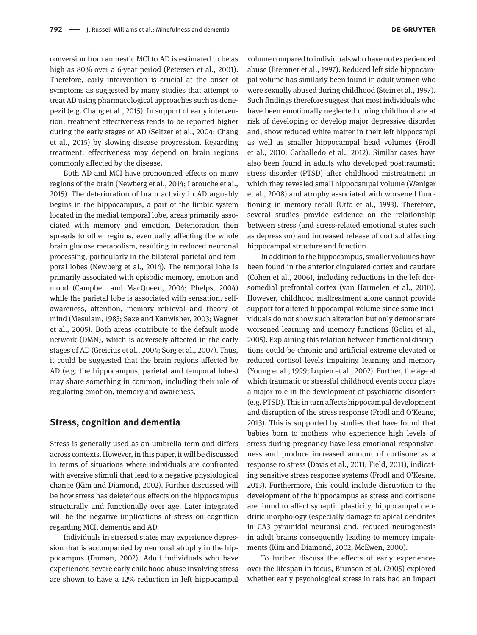conversion from amnestic MCI to AD is estimated to be as high as 80% over a 6-year period (Petersen et al., 2001). Therefore, early intervention is crucial at the onset of symptoms as suggested by many studies that attempt to treat AD using pharmacological approaches such as donepezil (e.g. Chang et al., 2015). In support of early intervention, treatment effectiveness tends to be reported higher during the early stages of AD (Seltzer et al., 2004; Chang et al., 2015) by slowing disease progression. Regarding treatment, effectiveness may depend on brain regions commonly affected by the disease.

Both AD and MCI have pronounced effects on many regions of the brain (Newberg et al., 2014; Larouche et al., 2015). The deterioration of brain activity in AD arguably begins in the hippocampus, a part of the limbic system located in the medial temporal lobe, areas primarily associated with memory and emotion. Deterioration then spreads to other regions, eventually affecting the whole brain glucose metabolism, resulting in reduced neuronal processing, particularly in the bilateral parietal and temporal lobes (Newberg et al., 2014). The temporal lobe is primarily associated with episodic memory, emotion and mood (Campbell and MacQueen, 2004; Phelps, 2004) while the parietal lobe is associated with sensation, selfawareness, attention, memory retrieval and theory of mind (Mesulam, 1983; Saxe and Kanwisher, 2003; Wagner et al., 2005). Both areas contribute to the default mode network (DMN), which is adversely affected in the early stages of AD (Greicius et al., 2004; Sorg et al., 2007). Thus, it could be suggested that the brain regions affected by AD (e.g. the hippocampus, parietal and temporal lobes) may share something in common, including their role of regulating emotion, memory and awareness.

## **Stress, cognition and dementia**

Stress is generally used as an umbrella term and differs across contexts. However, in this paper, it will be discussed in terms of situations where individuals are confronted with aversive stimuli that lead to a negative physiological change (Kim and Diamond, 2002). Further discussed will be how stress has deleterious effects on the hippocampus structurally and functionally over age. Later integrated will be the negative implications of stress on cognition regarding MCI, dementia and AD.

Individuals in stressed states may experience depression that is accompanied by neuronal atrophy in the hippocampus (Duman, 2002). Adult individuals who have experienced severe early childhood abuse involving stress are shown to have a 12% reduction in left hippocampal

volume compared to individuals who have not experienced abuse (Bremner et al., 1997). Reduced left side hippocampal volume has similarly been found in adult women who were sexually abused during childhood (Stein et al., 1997). Such findings therefore suggest that most individuals who have been emotionally neglected during childhood are at risk of developing or develop major depressive disorder and, show reduced white matter in their left hippocampi as well as smaller hippocampal head volumes (Frodl et al., 2010; Carballedo et al., 2012). Similar cases have also been found in adults who developed posttraumatic stress disorder (PTSD) after childhood mistreatment in which they revealed small hippocampal volume (Weniger et al., 2008) and atrophy associated with worsened functioning in memory recall (Utto et al., 1993). Therefore, several studies provide evidence on the relationship between stress (and stress-related emotional states such as depression) and increased release of cortisol affecting hippocampal structure and function.

In addition to the hippocampus, smaller volumes have been found in the anterior cingulated cortex and caudate (Cohen et al., 2006), including reductions in the left dorsomedial prefrontal cortex (van Harmelen et al., 2010). However, childhood maltreatment alone cannot provide support for altered hippocampal volume since some individuals do not show such alteration but only demonstrate worsened learning and memory functions (Golier et al., 2005). Explaining this relation between functional disruptions could be chronic and artificial extreme elevated or reduced cortisol levels impairing learning and memory (Young et al., 1999; Lupien et al., 2002). Further, the age at which traumatic or stressful childhood events occur plays a major role in the development of psychiatric disorders (e.g. PTSD). This in turn affects hippocampal development and disruption of the stress response (Frodl and O'Keane, 2013). This is supported by studies that have found that babies born to mothers who experience high levels of stress during pregnancy have less emotional responsiveness and produce increased amount of cortisone as a response to stress (Davis et al., 2011; Field, 2011), indicating sensitive stress response systems (Frodl and O'Keane, 2013). Furthermore, this could include disruption to the development of the hippocampus as stress and cortisone are found to affect synaptic plasticity, hippocampal dendritic morphology (especially damage to apical dendrites in CA3 pyramidal neurons) and, reduced neurogenesis in adult brains consequently leading to memory impairments (Kim and Diamond, 2002; McEwen, 2000).

To further discuss the effects of early experiences over the lifespan in focus, Brunson et al. (2005) explored whether early psychological stress in rats had an impact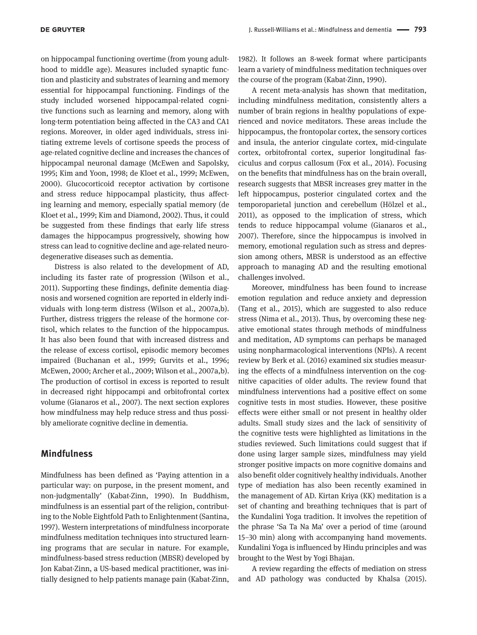on hippocampal functioning overtime (from young adulthood to middle age). Measures included synaptic function and plasticity and substrates of learning and memory essential for hippocampal functioning. Findings of the study included worsened hippocampal-related cognitive functions such as learning and memory, along with long-term potentiation being affected in the CA3 and CA1 regions. Moreover, in older aged individuals, stress initiating extreme levels of cortisone speeds the process of age-related cognitive decline and increases the chances of hippocampal neuronal damage (McEwen and Sapolsky, 1995; Kim and Yoon, 1998; de Kloet et al., 1999; McEwen, 2000). Glucocorticoid receptor activation by cortisone and stress reduce hippocampal plasticity, thus affecting learning and memory, especially spatial memory (de Kloet et al., 1999; Kim and Diamond, 2002). Thus, it could be suggested from these findings that early life stress damages the hippocampus progressively, showing how stress can lead to cognitive decline and age-related neurodegenerative diseases such as dementia.

Distress is also related to the development of AD, including its faster rate of progression (Wilson et al., 2011). Supporting these findings, definite dementia diagnosis and worsened cognition are reported in elderly individuals with long-term distress (Wilson et al., 2007a,b). Further, distress triggers the release of the hormone cortisol, which relates to the function of the hippocampus. It has also been found that with increased distress and the release of excess cortisol, episodic memory becomes impaired (Buchanan et al., 1999; Gurvits et al., 1996; McEwen, 2000; Archer et al., 2009; Wilson et al., 2007a,b). The production of cortisol in excess is reported to result in decreased right hippocampi and orbitofrontal cortex volume (Gianaros et al., 2007). The next section explores how mindfulness may help reduce stress and thus possibly ameliorate cognitive decline in dementia.

### **Mindfulness**

Mindfulness has been defined as 'Paying attention in a particular way: on purpose, in the present moment, and non-judgmentally' (Kabat-Zinn, 1990). In Buddhism, mindfulness is an essential part of the religion, contributing to the Noble Eightfold Path to Enlightenment (Santina, 1997). Western interpretations of mindfulness incorporate mindfulness meditation techniques into structured learning programs that are secular in nature. For example, mindfulness-based stress reduction (MBSR) developed by Jon Kabat-Zinn, a US-based medical practitioner, was initially designed to help patients manage pain (Kabat-Zinn,

1982). It follows an 8-week format where participants learn a variety of mindfulness meditation techniques over the course of the program (Kabat-Zinn, 1990).

A recent meta-analysis has shown that meditation, including mindfulness meditation, consistently alters a number of brain regions in healthy populations of experienced and novice meditators. These areas include the hippocampus, the frontopolar cortex, the sensory cortices and insula, the anterior cingulate cortex, mid-cingulate cortex, orbitofrontal cortex, superior longitudinal fasciculus and corpus callosum (Fox et al., 2014). Focusing on the benefits that mindfulness has on the brain overall, research suggests that MBSR increases grey matter in the left hippocampus, posterior cingulated cortex and the temporoparietal junction and cerebellum (Hölzel et al., 2011), as opposed to the implication of stress, which tends to reduce hippocampal volume (Gianaros et al., 2007). Therefore, since the hippocampus is involved in memory, emotional regulation such as stress and depression among others, MBSR is understood as an effective approach to managing AD and the resulting emotional challenges involved.

Moreover, mindfulness has been found to increase emotion regulation and reduce anxiety and depression (Tang et al., 2015), which are suggested to also reduce stress (Nima et al., 2013). Thus, by overcoming these negative emotional states through methods of mindfulness and meditation, AD symptoms can perhaps be managed using nonpharmacological interventions (NPIs). A recent review by Berk et al. (2016) examined six studies measuring the effects of a mindfulness intervention on the cognitive capacities of older adults. The review found that mindfulness interventions had a positive effect on some cognitive tests in most studies. However, these positive effects were either small or not present in healthy older adults. Small study sizes and the lack of sensitivity of the cognitive tests were highlighted as limitations in the studies reviewed. Such limitations could suggest that if done using larger sample sizes, mindfulness may yield stronger positive impacts on more cognitive domains and also benefit older cognitively healthy individuals. Another type of mediation has also been recently examined in the management of AD. Kirtan Kriya (KK) meditation is a set of chanting and breathing techniques that is part of the Kundalini Yoga tradition. It involves the repetition of the phrase 'Sa Ta Na Ma' over a period of time (around 15–30 min) along with accompanying hand movements. Kundalini Yoga is influenced by Hindu principles and was brought to the West by Yogi Bhajan.

A review regarding the effects of mediation on stress and AD pathology was conducted by Khalsa (2015).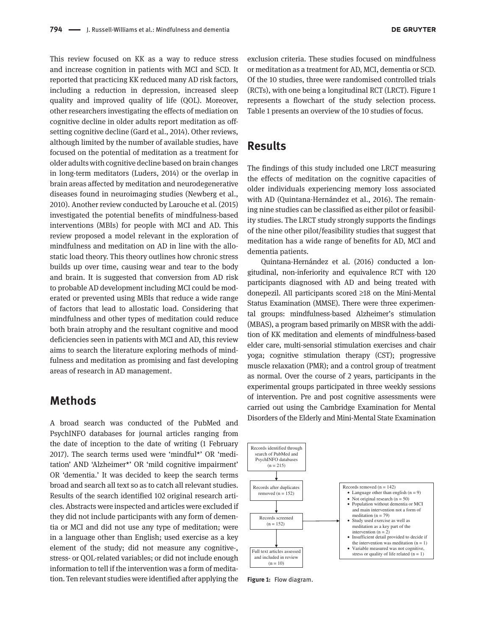This review focused on KK as a way to reduce stress and increase cognition in patients with MCI and SCD. It reported that practicing KK reduced many AD risk factors, including a reduction in depression, increased sleep quality and improved quality of life (QOL). Moreover, other researchers investigating the effects of mediation on cognitive decline in older adults report meditation as offsetting cognitive decline (Gard et al., 2014). Other reviews, although limited by the number of available studies, have focused on the potential of meditation as a treatment for older adults with cognitive decline based on brain changes in long-term meditators (Luders, 2014) or the overlap in brain areas affected by meditation and neurodegenerative diseases found in neuroimaging studies (Newberg et al., 2010). Another review conducted by Larouche et al. (2015) investigated the potential benefits of mindfulness-based interventions (MBIs) for people with MCI and AD. This review proposed a model relevant in the exploration of mindfulness and meditation on AD in line with the allostatic load theory. This theory outlines how chronic stress builds up over time, causing wear and tear to the body and brain. It is suggested that conversion from AD risk to probable AD development including MCI could be moderated or prevented using MBIs that reduce a wide range of factors that lead to allostatic load. Considering that mindfulness and other types of meditation could reduce both brain atrophy and the resultant cognitive and mood deficiencies seen in patients with MCI and AD, this review aims to search the literature exploring methods of mindfulness and meditation as promising and fast developing areas of research in AD management.

## **Methods**

A broad search was conducted of the PubMed and PsychINFO databases for journal articles ranging from the date of inception to the date of writing (1 February 2017). The search terms used were 'mindful\*' OR 'meditation' AND 'Alzheimer\*' OR 'mild cognitive impairment' OR 'dementia.' It was decided to keep the search terms broad and search all text so as to catch all relevant studies. Results of the search identified 102 original research articles. Abstracts were inspected and articles were excluded if they did not include participants with any form of dementia or MCI and did not use any type of meditation; were in a language other than English; used exercise as a key element of the study; did not measure any cognitive-, stress- or QOL-related variables; or did not include enough information to tell if the intervention was a form of meditation. Ten relevant studies were identified after applying the

exclusion criteria. These studies focused on mindfulness or meditation as a treatment for AD, MCI, dementia or SCD. Of the 10 studies, three were randomised controlled trials (RCTs), with one being a longitudinal RCT (LRCT). Figure 1 represents a flowchart of the study selection process. Table 1 presents an overview of the 10 studies of focus.

## **Results**

The findings of this study included one LRCT measuring the effects of meditation on the cognitive capacities of older individuals experiencing memory loss associated with AD (Quintana-Hernández et al., 2016). The remaining nine studies can be classified as either pilot or feasibility studies. The LRCT study strongly supports the findings of the nine other pilot/feasibility studies that suggest that meditation has a wide range of benefits for AD, MCI and dementia patients.

Quintana-Hernández et al. (2016) conducted a longitudinal, non-inferiority and equivalence RCT with 120 participants diagnosed with AD and being treated with donepezil. All participants scored ≥18 on the Mini-Mental Status Examination (MMSE). There were three experimental groups: mindfulness-based Alzheimer's stimulation (MBAS), a program based primarily on MBSR with the addition of KK meditation and elements of mindfulness-based elder care, multi-sensorial stimulation exercises and chair yoga; cognitive stimulation therapy (CST); progressive muscle relaxation (PMR); and a control group of treatment as normal. Over the course of 2 years, participants in the experimental groups participated in three weekly sessions of intervention. Pre and post cognitive assessments were carried out using the Cambridge Examination for Mental Disorders of the Elderly and Mini-Mental State Examination



**Figure 1:** Flow diagram.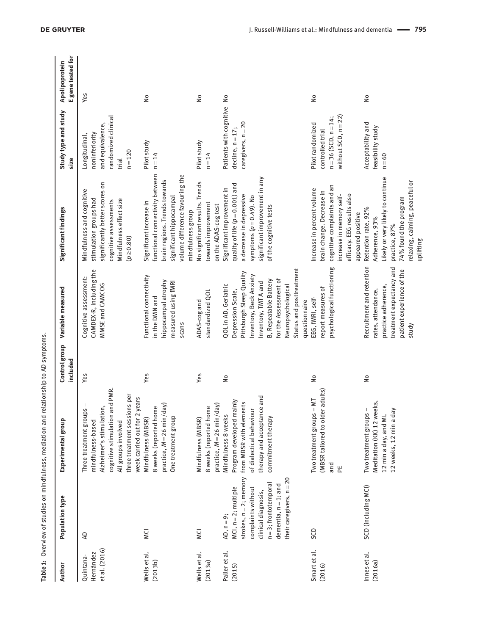| Author                                  | Population type                                                                                                                                                                                      | Experimental group                                                                                                                                                                                                | Control group<br>included | Variable measured                                                                                                                                                                                                                             | Significant findings                                                                                                                                                              | Study type and study<br>size                                                                     | E gene tested for<br>Apolipoprotein |
|-----------------------------------------|------------------------------------------------------------------------------------------------------------------------------------------------------------------------------------------------------|-------------------------------------------------------------------------------------------------------------------------------------------------------------------------------------------------------------------|---------------------------|-----------------------------------------------------------------------------------------------------------------------------------------------------------------------------------------------------------------------------------------------|-----------------------------------------------------------------------------------------------------------------------------------------------------------------------------------|--------------------------------------------------------------------------------------------------|-------------------------------------|
| et al. (2016)<br>Hernández<br>Quintana- | S                                                                                                                                                                                                    | cognitive stimulation and PMR.<br>three treatment sessions per<br>week carried out for 2 years<br>$\frac{1}{5}$<br>Alzheimer's stimulation,<br>Three treatment group:<br>mindfulness-based<br>All groups involved | Yes                       | CAMDEX-R, including the<br>Cognitive assessment:<br>MMSE and CAMCOG                                                                                                                                                                           | significantly better scores on<br>Mindfulness and cognitive<br>stimulation groups had<br>Mindfulness effect size<br>cognitive assessments<br>$(p \ge 0.80)$                       | randomized clinical<br>and equivalence,<br>noninferiority<br>Longitudinal,<br>$n = 120$<br>trial | Yes                                 |
| Wells et al.<br>(2013b)                 | VCI                                                                                                                                                                                                  | practice, $M = 26$ min/day)<br>8 weeks (reported home<br>One treatment group<br>Mindfulness (MBSR)                                                                                                                | Yes                       | Functional connectivity<br>hippocampal atrophy<br>measured using fMRI<br>in the DMN and<br>scans                                                                                                                                              | functional connectivity between<br>volume difference favouring the<br>brain regions. Trends towards<br>significant hippocampal<br>Significant increase in<br>mindfulness group    | Pilot study<br>$n = 14$                                                                          | $\frac{1}{2}$                       |
| Wells et al.<br>(2013a)                 | <b>MCI</b>                                                                                                                                                                                           | practice, $M = 26$ min/day)<br>8 weeks (reported home<br>Mindfulness (MBSR)                                                                                                                                       | Yes                       | standardized QOL<br>ADAS-cog and                                                                                                                                                                                                              | No significant results. Trends<br>towards improvement<br>on the ADAS-cog test                                                                                                     | Pilot study<br>$n = 14$                                                                          | $\frac{1}{2}$                       |
| Paller et al.<br>(2015)                 | strokes, $n = 2$ ; memory<br>their caregivers, n = 20<br>$n = 3$ ; frontotemporal<br>$d$ ementia, $n = 1$ ; and<br>$MCI, n = 2; multiple$<br>complaints without<br>clinical diagnosis,<br>AD, n = 9; | therapy and acceptance and<br>Program developed mainly<br>from MBSR with elements<br>of dialectical behaviour<br>Mindfulness 8 weeks<br>commitment therapy                                                        | $\tilde{z}$               | Status and posttreatment<br>Pittsburgh Sleep Quality<br>Inventory, Beck Anxiety<br>for the Assessment of<br>B, Repeatable Battery<br>Inventory, TMT A and<br>QOL in AD, Geriatric<br>Neuropsychological<br>Depression Scale,<br>questionnaire | significant improvement in any<br>quality of life $(p=0.001)$ and<br>Significant improvement in<br>a decrease in depressive<br>symptoms $(p=0.49)$ . No<br>of the cognitive tests | Patients with cognitive<br>$caregivers, n=20$<br>$decline, n = 17$                               | $\frac{1}{2}$                       |
| Smart et al.<br>(2016)                  | <b>GCD</b>                                                                                                                                                                                           | (MBSR tailored to older adults)<br>Two treatment groups - MT<br>and<br>뿐                                                                                                                                          | ş                         | psychological functioning<br>report measures of<br>EEG, fMRI, self-                                                                                                                                                                           | cognitive complaints and an<br>Increase in percent volume<br>brain change. Decrease in<br>efficacy. EEG results also<br>increase in memory self-<br>appeared positive             | without $SCD$ , $n = 22$ )<br>$n = 36$ (SCD, $n = 14$ ;<br>Pilot randomized<br>controlled trial  | $\frac{1}{2}$                       |
| Innes et al.<br>(2016a)                 | SCD (including MCI)                                                                                                                                                                                  | Meditation (KK) 12 weeks,<br>12 weeks, 12 min a day<br>Two treatment groups -<br>12 min a day, and ML                                                                                                             | ş                         | Recruitment and retention<br>treatment expectancy and<br>patient experience of the<br>practice adherence,<br>rates, attendance,<br>study                                                                                                      | Likely or very likely to continue<br>elaxing, calming, peaceful or<br>74% found the program<br>Retention rate, 92%<br>Adherence, 93%<br>practice, 87%<br>uplifting                | Acceptability and<br>feasibility study<br>$n = 60$                                               | $\frac{1}{2}$                       |

Table 1: Overview of studies on mindfulness, mediation and relationship to AD symptoms. **Table 1:** Overview of studies on mindfulness, mediation and relationship to AD symptoms.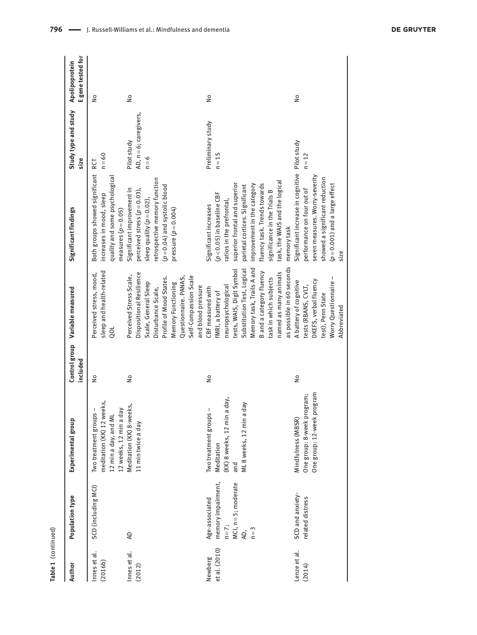| Author                   | Population type                                                                        | Experimental group                                                                                           | included      | Control group Variable measured                                                                                                                                                                                                                                   | Significant findings                                                                                                                                                                                                                                                                                | Study type and study<br>size                     | E gene tested for<br>Apolipoprotein |
|--------------------------|----------------------------------------------------------------------------------------|--------------------------------------------------------------------------------------------------------------|---------------|-------------------------------------------------------------------------------------------------------------------------------------------------------------------------------------------------------------------------------------------------------------------|-----------------------------------------------------------------------------------------------------------------------------------------------------------------------------------------------------------------------------------------------------------------------------------------------------|--------------------------------------------------|-------------------------------------|
| Innes et al.<br>(2016b)  | SCD (including MCI)                                                                    | meditation (KK) 12 weeks,<br>Two treatment groups -<br>12 weeks, 12 min a day<br>12 min a day, and ML        | $\frac{1}{2}$ | sleep and health-related<br>Perceived stress, mood,<br>ool                                                                                                                                                                                                        | Both groups showed significant RCT<br>quality and some psychological<br>increases in mood, sleep<br>measures $(p=0.05)$                                                                                                                                                                             | $n = 60$                                         | $\frac{1}{2}$                       |
| Innes et al.<br>(2012)   | ą                                                                                      | Meditation (KK) 8-weeks,<br>11 min twice a day                                                               | $\frac{1}{2}$ | Dispositional Resilience<br>Perceived Stress Scale,<br>Self-Compassion Scale<br>Profile of Mood States.<br>Questionnaire. PANAS,<br>Scale, General Sleep<br>Memory Functioning<br>and blood pressure<br>Disturbance Scale,                                        | retrospective memory function<br>$(p=0.04)$ and systolic blood<br>Significant improvement in<br>perceived stress $(p=0.03)$ ,<br>sleep quality ( $p = 0.02$ ),<br>pressure $(p=0.004)$                                                                                                              | AD, n = 6; caregivers,<br>Pilot study<br>$n = 6$ | $\frac{1}{2}$                       |
| et al. (2010)<br>Newberg | memory impairment,<br>MCI, n = 5; moderate<br>Age-associated<br>$n=7$ ;<br>$n=3$<br>Æ, | a day,<br>day<br>Two treatment groups -<br>(KK) 8 weeks, 12 min<br>ML 8 weeks, 12 min a<br>Meditation<br>and | å             | as possible in 60 seconds<br>Memory task, Trails A and<br>Substitution Test, Logical<br>tests, WAIS, Digit Symbol<br>B and a category fluency<br>named as many animals<br>task in which subjects<br>neuropsychological<br>CBF measured with<br>fMRI, a battery of | task, the WAIS and the logical<br>superior frontal and superior<br>improvement in the category<br>fluency task. Trends towards<br>parietal cortices. Significant<br>significance in the Trials B<br>$(p<0.05)$ in baseline CBF<br>ratios in the prefrontal,<br>Significant increases<br>memory task | Preliminary study<br>$n = 15$                    | $\frac{1}{2}$                       |
| Lenze et al.<br>(2014)   | SCD and anxiety-<br>related distress                                                   | program<br>One group: 8-week program;<br>One group: 12-week<br>Mindfulness (MBSR)                            | $\frac{1}{2}$ | Worry Questionnaire -<br>DKEFS, verbal fluency<br>A battery of cognitive<br>tests (RBANS, CVLT,<br>test), Penn State<br>Abbreviated                                                                                                                               | Significant increase in cognitive<br>seven measures. Worry-severity<br>showed a significant reduction<br>$(p=0.001)$ and a large effect<br>performance on four out of<br>size                                                                                                                       | Pilot study<br>$n = 12$                          | $\frac{1}{2}$                       |

**Table 1** (continued)

Table 1 (continued)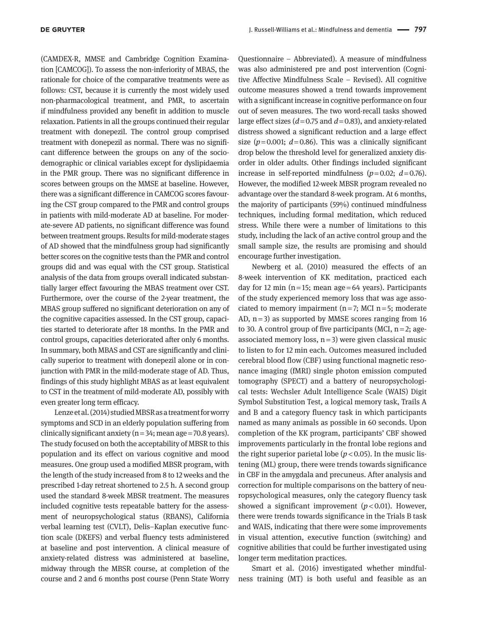(CAMDEX-R, MMSE and Cambridge Cognition Examination [CAMCOG]). To assess the non-inferiority of MBAS, the rationale for choice of the comparative treatments were as follows: CST, because it is currently the most widely used non-pharmacological treatment, and PMR, to ascertain if mindfulness provided any benefit in addition to muscle relaxation. Patients in all the groups continued their regular treatment with donepezil. The control group comprised treatment with donepezil as normal. There was no significant difference between the groups on any of the sociodemographic or clinical variables except for dyslipidaemia in the PMR group. There was no significant difference in scores between groups on the MMSE at baseline. However, there was a significant difference in CAMCOG scores favouring the CST group compared to the PMR and control groups in patients with mild-moderate AD at baseline. For moderate-severe AD patients, no significant difference was found between treatment groups. Results for mild-moderate stages of AD showed that the mindfulness group had significantly better scores on the cognitive tests than the PMR and control groups did and was equal with the CST group. Statistical analysis of the data from groups overall indicated substantially larger effect favouring the MBAS treatment over CST. Furthermore, over the course of the 2-year treatment, the MBAS group suffered no significant deterioration on any of the cognitive capacities assessed. In the CST group, capacities started to deteriorate after 18 months. In the PMR and control groups, capacities deteriorated after only 6 months. In summary, both MBAS and CST are significantly and clinically superior to treatment with donepezil alone or in conjunction with PMR in the mild-moderate stage of AD. Thus, findings of this study highlight MBAS as at least equivalent to CST in the treatment of mild-moderate AD, possibly with even greater long term efficacy.

Lenze et al. (2014) studied MBSR as a treatment for worry symptoms and SCD in an elderly population suffering from clinically significant anxiety ( $n=34$ ; mean age = 70.8 years). The study focused on both the acceptability of MBSR to this population and its effect on various cognitive and mood measures. One group used a modified MBSR program, with the length of the study increased from 8 to 12 weeks and the prescribed 1-day retreat shortened to 2.5 h. A second group used the standard 8-week MBSR treatment. The measures included cognitive tests repeatable battery for the assessment of neuropsychological status (RBANS), California verbal learning test (CVLT), Delis–Kaplan executive function scale (DKEFS) and verbal fluency tests administered at baseline and post intervention. A clinical measure of anxiety-related distress was administered at baseline, midway through the MBSR course, at completion of the course and 2 and 6 months post course (Penn State Worry

Questionnaire – Abbreviated). A measure of mindfulness was also administered pre and post intervention (Cognitive Affective Mindfulness Scale – Revised). All cognitive outcome measures showed a trend towards improvement with a significant increase in cognitive performance on four out of seven measures. The two word-recall tasks showed large effect sizes (*d* = 0.75 and *d* = 0.83), and anxiety-related distress showed a significant reduction and a large effect size ( $p = 0.001$ ;  $d = 0.86$ ). This was a clinically significant drop below the threshold level for generalized anxiety disorder in older adults. Other findings included significant increase in self-reported mindfulness  $(p=0.02; d=0.76)$ . However, the modified 12-week MBSR program revealed no advantage over the standard 8-week program. At 6 months, the majority of participants (59%) continued mindfulness techniques, including formal meditation, which reduced stress. While there were a number of limitations to this study, including the lack of an active control group and the small sample size, the results are promising and should encourage further investigation.

Newberg et al. (2010) measured the effects of an 8-week intervention of KK meditation, practiced each day for 12 min ( $n=15$ ; mean age = 64 years). Participants of the study experienced memory loss that was age associated to memory impairment  $(n=7; MCI n=5;$  moderate AD,  $n=3$ ) as supported by MMSE scores ranging from 16 to 30. A control group of five participants (MCI,  $n=2$ ; ageassociated memory loss,  $n=3$ ) were given classical music to listen to for 12 min each. Outcomes measured included cerebral blood flow (CBF) using functional magnetic resonance imaging (fMRI) single photon emission computed tomography (SPECT) and a battery of neuropsychological tests: Wechsler Adult Intelligence Scale (WAIS) Digit Symbol Substitution Test, a logical memory task, Trails A and B and a category fluency task in which participants named as many animals as possible in 60 seconds. Upon completion of the KK program, participants' CBF showed improvements particularly in the frontal lobe regions and the right superior parietal lobe  $(p < 0.05)$ . In the music listening (ML) group, there were trends towards significance in CBF in the amygdala and precuneus. After analysis and correction for multiple comparisons on the battery of neuropsychological measures, only the category fluency task showed a significant improvement  $(p < 0.01)$ . However, there were trends towards significance in the Trials B task and WAIS, indicating that there were some improvements in visual attention, executive function (switching) and cognitive abilities that could be further investigated using longer term meditation practices.

Smart et al. (2016) investigated whether mindfulness training (MT) is both useful and feasible as an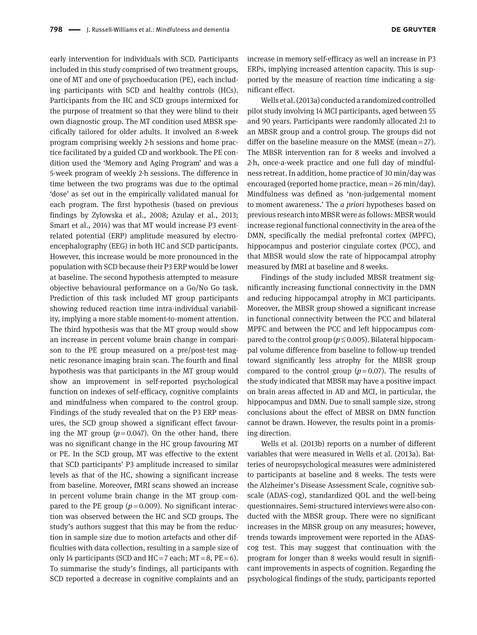early intervention for individuals with SCD. Participants included in this study comprised of two treatment groups, one of MT and one of psychoeducation (PE), each including participants with SCD and healthy controls (HCs). Participants from the HC and SCD groups intermixed for the purpose of treatment so that they were blind to their own diagnostic group. The MT condition used MBSR specifically tailored for older adults. It involved an 8-week program comprising weekly 2-h sessions and home practice facilitated by a guided CD and workbook. The PE condition used the 'Memory and Aging Program' and was a 5-week program of weekly 2-h sessions. The difference in time between the two programs was due to the optimal 'dose' as set out in the empirically validated manual for each program*.* The first hypothesis (based on previous findings by Zylowska et al., 2008; Azulay et al., 2013; Smart et al., 2014) was that MT would increase P3 eventrelated potential (ERP) amplitude measured by electroencephalography (EEG) in both HC and SCD participants. However, this increase would be more pronounced in the population with SCD because their P3 ERP would be lower at baseline. The second hypothesis attempted to measure objective behavioural performance on a Go/No Go task. Prediction of this task included MT group participants showing reduced reaction time intra-individual variability, implying a more stable moment-to-moment attention. The third hypothesis was that the MT group would show an increase in percent volume brain change in comparison to the PE group measured on a pre/post-test magnetic resonance imaging brain scan. The fourth and final hypothesis was that participants in the MT group would show an improvement in self-reported psychological function on indexes of self-efficacy, cognitive complaints and mindfulness when compared to the control group. Findings of the study revealed that on the P3 ERP measures, the SCD group showed a significant effect favouring the MT group  $(p=0.047)$ . On the other hand, there was no significant change in the HC group favouring MT or PE. In the SCD group, MT was effective to the extent that SCD participants' P3 amplitude increased to similar levels as that of the HC, showing a significant increase from baseline. Moreover, fMRI scans showed an increase in percent volume brain change in the MT group compared to the PE group  $(p=0.009)$ . No significant interaction was observed between the HC and SCD groups. The study's authors suggest that this may be from the reduction in sample size due to motion artefacts and other difficulties with data collection, resulting in a sample size of only 14 participants (SCD and HC = 7 each; MT = 8, PE = 6). To summarise the study's findings, all participants with SCD reported a decrease in cognitive complaints and an

increase in memory self-efficacy as well an increase in P3 ERPs, implying increased attention capacity. This is supported by the measure of reaction time indicating a significant effect.

Wells et al. (2013a) conducted a randomized controlled pilot study involving 14 MCI participants, aged between 55 and 90 years. Participants were randomly allocated 2:1 to an MBSR group and a control group. The groups did not differ on the baseline measure on the MMSE (mean = 27). The MBSR intervention ran for 8 weeks and involved a 2-h, once-a-week practice and one full day of mindfulness retreat. In addition, home practice of 30 min/day was encouraged (reported home practice, mean = 26 min/day). Mindfulness was defined as 'non-judgemental moment to moment awareness.' The *a priori* hypotheses based on previous research into MBSR were as follows: MBSR would increase regional functional connectivity in the area of the DMN, specifically the medial prefrontal cortex (MPFC), hippocampus and posterior cingulate cortex (PCC), and that MBSR would slow the rate of hippocampal atrophy measured by fMRI at baseline and 8 weeks.

Findings of the study included MBSR treatment significantly increasing functional connectivity in the DMN and reducing hippocampal atrophy in MCI participants. Moreover, the MBSR group showed a significant increase in functional connectivity between the PCC and bilateral MPFC and between the PCC and left hippocampus compared to the control group ( $p \le 0.005$ ). Bilateral hippocampal volume difference from baseline to follow-up trended toward significantly less atrophy for the MBSR group compared to the control group  $(p=0.07)$ . The results of the study indicated that MBSR may have a positive impact on brain areas affected in AD and MCI, in particular, the hippocampus and DMN. Due to small sample size, strong conclusions about the effect of MBSR on DMN function cannot be drawn. However, the results point in a promising direction.

Wells et al. (2013b) reports on a number of different variables that were measured in Wells et al. (2013a). Batteries of neuropsychological measures were administered to participants at baseline and 8 weeks. The tests were the Alzheimer's Disease Assessment Scale, cognitive subscale (ADAS-cog), standardized QOL and the well-being questionnaires. Semi-structured interviews were also conducted with the MBSR group. There were no significant increases in the MBSR group on any measures; however, trends towards improvement were reported in the ADAScog test. This may suggest that continuation with the program for longer than 8 weeks would result in significant improvements in aspects of cognition. Regarding the psychological findings of the study, participants reported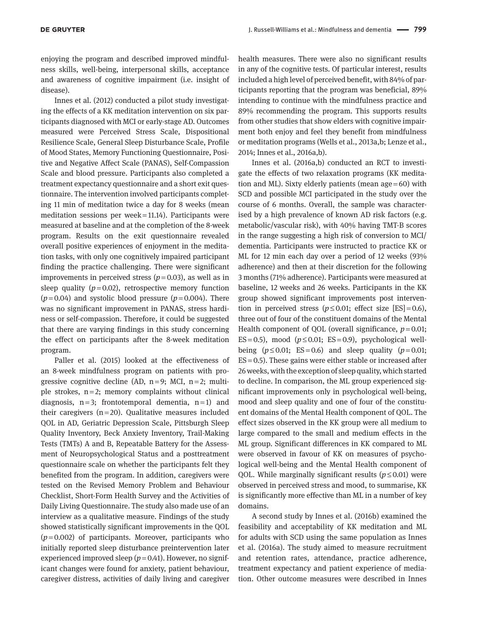enjoying the program and described improved mindfulness skills, well-being, interpersonal skills, acceptance and awareness of cognitive impairment (i.e. insight of disease).

Innes et al. (2012) conducted a pilot study investigating the effects of a KK meditation intervention on six participants diagnosed with MCI or early-stage AD. Outcomes measured were Perceived Stress Scale, Dispositional Resilience Scale, General Sleep Disturbance Scale, Profile of Mood States, Memory Functioning Questionnaire, Positive and Negative Affect Scale (PANAS), Self-Compassion Scale and blood pressure. Participants also completed a treatment expectancy questionnaire and a short exit questionnaire. The intervention involved participants completing 11 min of meditation twice a day for 8 weeks (mean meditation sessions per week = 11.14). Participants were measured at baseline and at the completion of the 8-week program. Results on the exit questionnaire revealed overall positive experiences of enjoyment in the meditation tasks, with only one cognitively impaired participant finding the practice challenging. There were significant improvements in perceived stress  $(p=0.03)$ , as well as in sleep quality  $(p=0.02)$ , retrospective memory function  $(p=0.04)$  and systolic blood pressure  $(p=0.004)$ . There was no significant improvement in PANAS, stress hardiness or self-compassion. Therefore, it could be suggested that there are varying findings in this study concerning the effect on participants after the 8-week meditation program.

Paller et al. (2015) looked at the effectiveness of an 8-week mindfulness program on patients with progressive cognitive decline (AD,  $n=9$ ; MCI,  $n=2$ ; multiple strokes,  $n=2$ ; memory complaints without clinical diagnosis,  $n=3$ ; frontotemporal dementia,  $n=1$ ) and their caregivers  $(n=20)$ . Qualitative measures included QOL in AD, Geriatric Depression Scale, Pittsburgh Sleep Quality Inventory, Beck Anxiety Inventory, Trail-Making Tests (TMTs) A and B, Repeatable Battery for the Assessment of Neuropsychological Status and a posttreatment questionnaire scale on whether the participants felt they benefited from the program. In addition, caregivers were tested on the Revised Memory Problem and Behaviour Checklist, Short-Form Health Survey and the Activities of Daily Living Questionnaire. The study also made use of an interview as a qualitative measure. Findings of the study showed statistically significant improvements in the QOL  $(p=0.002)$  of participants. Moreover, participants who initially reported sleep disturbance preintervention later experienced improved sleep  $(p=0.41)$ . However, no significant changes were found for anxiety, patient behaviour, caregiver distress, activities of daily living and caregiver

health measures. There were also no significant results in any of the cognitive tests. Of particular interest, results included a high level of perceived benefit, with 84% of participants reporting that the program was beneficial, 89% intending to continue with the mindfulness practice and 89% recommending the program. This supports results from other studies that show elders with cognitive impairment both enjoy and feel they benefit from mindfulness or meditation programs (Wells et al., 2013a,b; Lenze et al., 2014; Innes et al., 2016a,b).

Innes et al. (2016a,b) conducted an RCT to investigate the effects of two relaxation programs (KK meditation and ML). Sixty elderly patients (mean age = 60) with SCD and possible MCI participated in the study over the course of 6 months. Overall, the sample was characterised by a high prevalence of known AD risk factors (e.g. metabolic/vascular risk), with 40% having TMT-B scores in the range suggesting a high risk of conversion to MCI/ dementia. Participants were instructed to practice KK or ML for 12 min each day over a period of 12 weeks (93% adherence) and then at their discretion for the following 3 months (71% adherence). Participants were measured at baseline, 12 weeks and 26 weeks. Participants in the KK group showed significant improvements post intervention in perceived stress ( $p \le 0.01$ ; effect size [ES] = 0.6), three out of four of the constituent domains of the Mental Health component of QOL (overall significance,  $p = 0.01$ ;  $ES = 0.5$ ), mood ( $p \le 0.01$ ;  $ES = 0.9$ ), psychological wellbeing  $(p \le 0.01$ ; ES=0.6) and sleep quality  $(p=0.01)$ ; ES = 0.5). These gains were either stable or increased after 26 weeks, with the exception of sleep quality, which started to decline. In comparison, the ML group experienced significant improvements only in psychological well-being, mood and sleep quality and one of four of the constituent domains of the Mental Health component of QOL. The effect sizes observed in the KK group were all medium to large compared to the small and medium effects in the ML group. Significant differences in KK compared to ML were observed in favour of KK on measures of psychological well-being and the Mental Health component of QOL. While marginally significant results  $(p \le 0.01)$  were observed in perceived stress and mood, to summarise, KK is significantly more effective than ML in a number of key domains.

A second study by Innes et al. (2016b) examined the feasibility and acceptability of KK meditation and ML for adults with SCD using the same population as Innes et al. (2016a). The study aimed to measure recruitment and retention rates, attendance, practice adherence, treatment expectancy and patient experience of mediation. Other outcome measures were described in Innes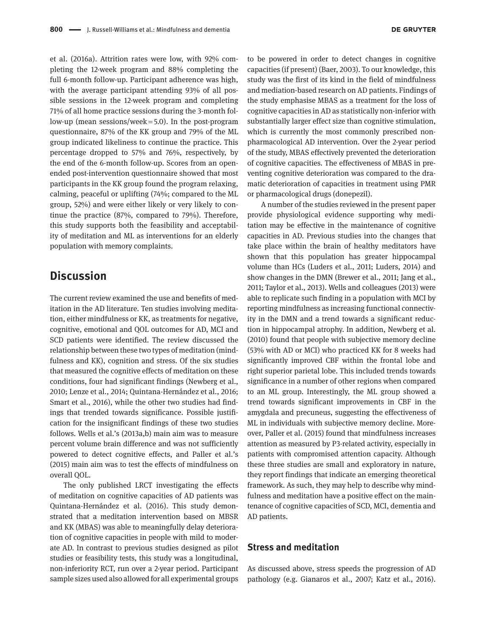et al. (2016a). Attrition rates were low, with 92% completing the 12-week program and 88% completing the full 6-month follow-up. Participant adherence was high, with the average participant attending 93% of all possible sessions in the 12-week program and completing 71% of all home practice sessions during the 3-month follow-up (mean sessions/week = 5.0). In the post-program questionnaire, 87% of the KK group and 79% of the ML group indicated likeliness to continue the practice. This percentage dropped to 57% and 76%, respectively, by the end of the 6-month follow-up. Scores from an openended post-intervention questionnaire showed that most participants in the KK group found the program relaxing, calming, peaceful or uplifting (74%; compared to the ML group, 52%) and were either likely or very likely to continue the practice (87%, compared to 79%). Therefore, this study supports both the feasibility and acceptability of meditation and ML as interventions for an elderly population with memory complaints.

## **Discussion**

The current review examined the use and benefits of meditation in the AD literature. Ten studies involving meditation, either mindfulness or KK, as treatments for negative, cognitive, emotional and QOL outcomes for AD, MCI and SCD patients were identified. The review discussed the relationship between these two types of meditation (mindfulness and KK), cognition and stress. Of the six studies that measured the cognitive effects of meditation on these conditions, four had significant findings (Newberg et al., 2010; Lenze et al., 2014; Quintana-Hernández et al., 2016; Smart et al., 2016), while the other two studies had findings that trended towards significance. Possible justification for the insignificant findings of these two studies follows. Wells et al.'s (2013a,b) main aim was to measure percent volume brain difference and was not sufficiently powered to detect cognitive effects, and Paller et al.'s (2015) main aim was to test the effects of mindfulness on overall QOL.

The only published LRCT investigating the effects of meditation on cognitive capacities of AD patients was Quintana-Hernández et al. (2016). This study demonstrated that a meditation intervention based on MBSR and KK (MBAS) was able to meaningfully delay deterioration of cognitive capacities in people with mild to moderate AD. In contrast to previous studies designed as pilot studies or feasibility tests, this study was a longitudinal, non-inferiority RCT, run over a 2-year period. Participant sample sizes used also allowed for all experimental groups

to be powered in order to detect changes in cognitive capacities (if present) (Baer, 2003). To our knowledge, this study was the first of its kind in the field of mindfulness and mediation-based research on AD patients. Findings of the study emphasise MBAS as a treatment for the loss of cognitive capacities in AD as statistically non-inferior with substantially larger effect size than cognitive stimulation, which is currently the most commonly prescribed nonpharmacological AD intervention. Over the 2-year period of the study, MBAS effectively prevented the deterioration of cognitive capacities. The effectiveness of MBAS in preventing cognitive deterioration was compared to the dramatic deterioration of capacities in treatment using PMR or pharmacological drugs (donepezil).

A number of the studies reviewed in the present paper provide physiological evidence supporting why meditation may be effective in the maintenance of cognitive capacities in AD. Previous studies into the changes that take place within the brain of healthy meditators have shown that this population has greater hippocampal volume than HCs (Luders et al., 2011; Luders, 2014) and show changes in the DMN (Brewer et al., 2011; Jang et al., 2011; Taylor et al., 2013). Wells and colleagues (2013) were able to replicate such finding in a population with MCI by reporting mindfulness as increasing functional connectivity in the DMN and a trend towards a significant reduction in hippocampal atrophy. In addition, Newberg et al. (2010) found that people with subjective memory decline (53% with AD or MCI) who practiced KK for 8 weeks had significantly improved CBF within the frontal lobe and right superior parietal lobe. This included trends towards significance in a number of other regions when compared to an ML group. Interestingly, the ML group showed a trend towards significant improvements in CBF in the amygdala and precuneus, suggesting the effectiveness of ML in individuals with subjective memory decline. Moreover, Paller et al. (2015) found that mindfulness increases attention as measured by P3-related activity, especially in patients with compromised attention capacity. Although these three studies are small and exploratory in nature, they report findings that indicate an emerging theoretical framework. As such, they may help to describe why mindfulness and meditation have a positive effect on the maintenance of cognitive capacities of SCD, MCI, dementia and AD patients.

## **Stress and meditation**

As discussed above, stress speeds the progression of AD pathology (e.g. Gianaros et al., 2007; Katz et al., 2016).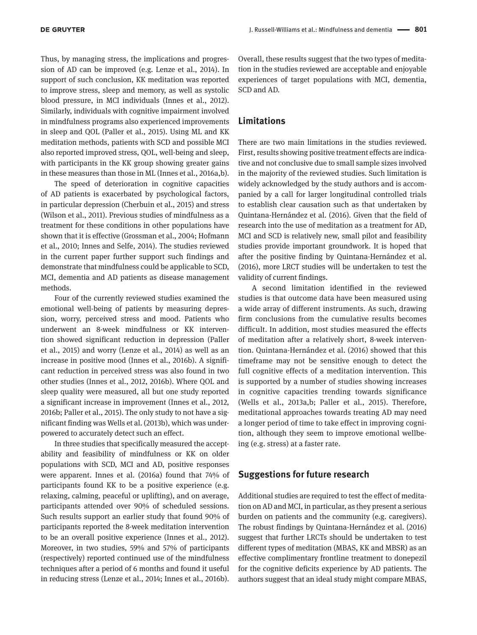Thus, by managing stress, the implications and progression of AD can be improved (e.g. Lenze et al., 2014). In support of such conclusion, KK meditation was reported to improve stress, sleep and memory, as well as systolic blood pressure, in MCI individuals (Innes et al., 2012). Similarly, individuals with cognitive impairment involved in mindfulness programs also experienced improvements in sleep and QOL (Paller et al., 2015). Using ML and KK meditation methods, patients with SCD and possible MCI also reported improved stress, QOL, well-being and sleep, with participants in the KK group showing greater gains in these measures than those in ML (Innes et al., 2016a,b).

The speed of deterioration in cognitive capacities of AD patients is exacerbated by psychological factors, in particular depression (Cherbuin et al., 2015) and stress (Wilson et al., 2011). Previous studies of mindfulness as a treatment for these conditions in other populations have shown that it is effective (Grossman et al., 2004; Hofmann et al., 2010; Innes and Selfe, 2014). The studies reviewed in the current paper further support such findings and demonstrate that mindfulness could be applicable to SCD, MCI, dementia and AD patients as disease management methods.

Four of the currently reviewed studies examined the emotional well-being of patients by measuring depression, worry, perceived stress and mood. Patients who underwent an 8-week mindfulness or KK intervention showed significant reduction in depression (Paller et al., 2015) and worry (Lenze et al., 2014) as well as an increase in positive mood (Innes et al., 2016b). A significant reduction in perceived stress was also found in two other studies (Innes et al., 2012, 2016b). Where QOL and sleep quality were measured, all but one study reported a significant increase in improvement (Innes et al., 2012, 2016b; Paller et al., 2015). The only study to not have a significant finding was Wells et al. (2013b), which was underpowered to accurately detect such an effect.

In three studies that specifically measured the acceptability and feasibility of mindfulness or KK on older populations with SCD, MCI and AD, positive responses were apparent. Innes et al. (2016a) found that 74% of participants found KK to be a positive experience (e.g. relaxing, calming, peaceful or uplifting), and on average, participants attended over 90% of scheduled sessions. Such results support an earlier study that found 90% of participants reported the 8-week meditation intervention to be an overall positive experience (Innes et al., 2012). Moreover, in two studies, 59% and 57% of participants (respectively) reported continued use of the mindfulness techniques after a period of 6 months and found it useful in reducing stress (Lenze et al., 2014; Innes et al., 2016b).

Overall, these results suggest that the two types of meditation in the studies reviewed are acceptable and enjoyable experiences of target populations with MCI, dementia, SCD and AD.

#### **Limitations**

There are two main limitations in the studies reviewed. First, results showing positive treatment effects are indicative and not conclusive due to small sample sizes involved in the majority of the reviewed studies. Such limitation is widely acknowledged by the study authors and is accompanied by a call for larger longitudinal controlled trials to establish clear causation such as that undertaken by Quintana-Hernández et al. (2016). Given that the field of research into the use of meditation as a treatment for AD, MCI and SCD is relatively new, small pilot and feasibility studies provide important groundwork. It is hoped that after the positive finding by Quintana-Hernández et al. (2016), more LRCT studies will be undertaken to test the validity of current findings.

A second limitation identified in the reviewed studies is that outcome data have been measured using a wide array of different instruments. As such, drawing firm conclusions from the cumulative results becomes difficult. In addition, most studies measured the effects of meditation after a relatively short, 8-week intervention. Quintana-Hernández et al. (2016) showed that this timeframe may not be sensitive enough to detect the full cognitive effects of a meditation intervention. This is supported by a number of studies showing increases in cognitive capacities trending towards significance (Wells et al., 2013a,b; Paller et al., 2015). Therefore, meditational approaches towards treating AD may need a longer period of time to take effect in improving cognition, although they seem to improve emotional wellbeing (e.g. stress) at a faster rate.

#### **Suggestions for future research**

Additional studies are required to test the effect of meditation on AD and MCI, in particular, as they present a serious burden on patients and the community (e.g. caregivers). The robust findings by Quintana-Hernández et al. (2016) suggest that further LRCTs should be undertaken to test different types of meditation (MBAS, KK and MBSR) as an effective complimentary frontline treatment to donepezil for the cognitive deficits experience by AD patients. The authors suggest that an ideal study might compare MBAS,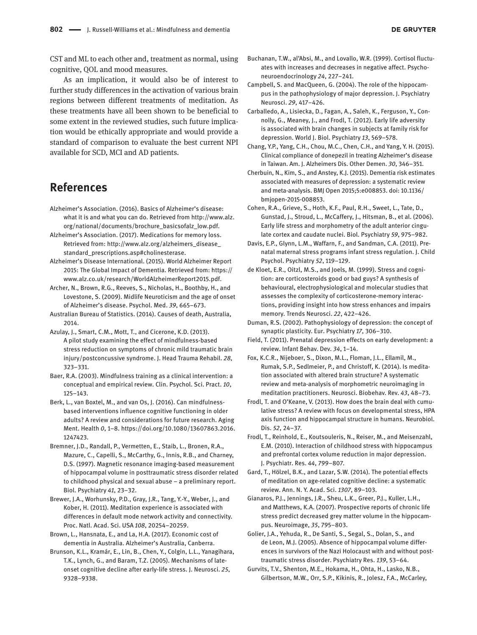CST and ML to each other and, treatment as normal, using cognitive, QOL and mood measures.

As an implication, it would also be of interest to further study differences in the activation of various brain regions between different treatments of meditation. As these treatments have all been shown to be beneficial to some extent in the reviewed studies, such future implication would be ethically appropriate and would provide a standard of comparison to evaluate the best current NPI available for SCD, MCI and AD patients.

# **References**

- Alzheimer's Association. (2016). Basics of Alzheimer's disease: what it is and what you can do. Retrieved from [http://www.alz.](http://www.alz.org/national/documents/brochure_basicsofalz_low.pdf) [org/national/documents/brochure\\_basicsofalz\\_low.pdf](http://www.alz.org/national/documents/brochure_basicsofalz_low.pdf).
- Alzheimer's Association. (2017). Medications for memory loss. Retrieved from: [http://www.alz.org/alzheimers\\_disease\\_](http://www.alz.org/alzheimers_disease_standard_prescriptions.asp#cholinesterase) [standard\\_prescriptions.asp#cholinesterase](http://www.alz.org/alzheimers_disease_standard_prescriptions.asp#cholinesterase).
- Alzheimer's Disease International. (2015). World Alzheimer Report 2015: The Global Impact of Dementia. Retrieved from: [https://](https://www.alz.co.uk/research/WorldAlzheimerReport2015.pdf) [www.alz.co.uk/research/WorldAlzheimerReport2015.pdf.](https://www.alz.co.uk/research/WorldAlzheimerReport2015.pdf)
- Archer, N., Brown, R.G., Reeves, S., Nicholas, H., Boothby, H., and Lovestone, S. (2009). Midlife Neuroticism and the age of onset of Alzheimer's disease. Psychol. Med. *39*, 665–673.
- Australian Bureau of Statistics. (2014). Causes of death, Australia, 2014.
- Azulay, J., Smart, C.M., Mott, T., and Cicerone, K.D. (2013). A pilot study examining the effect of mindfulness-based stress reduction on symptoms of chronic mild traumatic brain injury/postconcussive syndrome. J. Head Trauma Rehabil. *28*, 323–331.
- Baer, R.A. (2003). Mindfulness training as a clinical intervention: a conceptual and empirical review. Clin. Psychol. Sci. Pract. *10*, 125–143.
- Berk, L., van Boxtel, M., and van Os, J. (2016). Can mindfulnessbased interventions influence cognitive functioning in older adults? A review and considerations for future research. Aging Ment. Health *0*, 1–8. [https://doi.org/10.1080/13607863.2016.](https://doi.org/10.1080/13607863.2016.1247423) [1247423](https://doi.org/10.1080/13607863.2016.1247423).
- Bremner, J.D., Randall, P., Vermetten, E., Staib, L., Bronen, R.A., Mazure, C., Capelli, S., McCarthy, G., Innis, R.B., and Charney, D.S. (1997). Magnetic resonance imaging-based measurement of hippocampal volume in posttraumatic stress disorder related to childhood physical and sexual abuse – a preliminary report. Biol. Psychiatry *41*, 23–32.
- Brewer, J.A., Worhunsky, P.D., Gray, J.R., Tang, Y.-Y., Weber, J., and Kober, H. (2011). Meditation experience is associated with differences in default mode network activity and connectivity. Proc. Natl. Acad. Sci. USA *108*, 20254–20259.
- Brown, L., Hansnata, E., and La, H.A. (2017). Economic cost of dementia in Australia. Alzheimer's Australia, Canberra.
- Brunson, K.L., Kramár, E., Lin, B., Chen, Y., Colgin, L.L., Yanagihara, T.K., Lynch, G., and Baram, T.Z. (2005). Mechanisms of lateonset cognitive decline after early-life stress. J. Neurosci. *25*, 9328–9338.
- Buchanan, T.W., al'Absi, M., and Lovallo, W.R. (1999). Cortisol fluctuates with increases and decreases in negative affect. Psychoneuroendocrinology *24*, 227–241.
- Campbell, S. and MacQueen, G. (2004). The role of the hippocampus in the pathophysiology of major depression. J. Psychiatry Neurosci. *29*, 417–426.
- Carballedo, A., Lisiecka, D., Fagan, A., Saleh, K., Ferguson, Y., Connolly, G., Meaney, J., and Frodl, T. (2012). Early life adversity is associated with brain changes in subjects at family risk for depression. World J. Biol. Psychiatry *13*, 569–578.
- Chang, Y.P., Yang, C.H., Chou, M.C., Chen, C.H., and Yang, Y. H. (2015). Clinical compliance of donepezil in treating Alzheimer's disease in Taiwan. Am. J. Alzheimers Dis. Other Demen. *30*, 346–351.
- Cherbuin, N., Kim, S., and Anstey, K.J. (2015). Dementia risk estimates associated with measures of depression: a systematic review and meta-analysis. BMJ Open 2015;5:e008853. doi: 10.1136/ bmjopen-2015-008853.
- Cohen, R.A., Grieve, S., Hoth, K.F., Paul, R.H., Sweet, L., Tate, D., Gunstad, J., Stroud, L., McCaffery, J., Hitsman, B., et al. (2006). Early life stress and morphometry of the adult anterior cingulate cortex and caudate nuclei. Biol. Psychiatry *59*, 975–982.
- Davis, E.P., Glynn, L.M., Waffarn, F., and Sandman, C.A. (2011). Prenatal maternal stress programs infant stress regulation. J. Child Psychol. Psychiatry *52*, 119–129.
- de Kloet, E.R., Oitzl, M.S., and Joels, M. (1999). Stress and cognition: are corticosteroids good or bad guys? A synthesis of behavioural, electrophysiological and molecular studies that assesses the complexity of corticosterone-memory interactions, providing insight into how stress enhances and impairs memory. Trends Neurosci. *22*, 422–426.
- Duman, R.S. (2002). Pathophysiology of depression: the concept of synaptic plasticity. Eur. Psychiatry *17*, 306–310.
- Field, T. (2011). Prenatal depression effects on early development: a review. Infant Behav. Dev. *34*, 1–14.
- Fox, K.C.R., Nijeboer, S., Dixon, M.L., Floman, J.L., Ellamil, M., Rumak, S.P., Sedlmeier, P., and Christoff, K. (2014). Is meditation associated with altered brain structure? A systematic review and meta-analysis of morphometric neuroimaging in meditation practitioners. Neurosci. Biobehav. Rev. *43*, 48–73.
- Frodl, T. and O'Keane, V. (2013). How does the brain deal with cumulative stress? A review with focus on developmental stress, HPA axis function and hippocampal structure in humans. Neurobiol. Dis. *52*, 24–37.
- Frodl, T., Reinhold, E., Koutsouleris, N., Reiser, M., and Meisenzahl, E.M. (2010). Interaction of childhood stress with hippocampus and prefrontal cortex volume reduction in major depression. J. Psychiatr. Res. *44*, 799–807.
- Gard, T., Hölzel, B.K., and Lazar, S.W. (2014). The potential effects of meditation on age-related cognitive decline: a systematic review. Ann. N. Y. Acad. Sci. *1307*, 89–103.
- Gianaros, P.J., Jennings, J.R., Sheu, L.K., Greer, P.J., Kuller, L.H., and Matthews, K.A. (2007). Prospective reports of chronic life stress predict decreased grey matter volume in the hippocampus. Neuroimage, *35*, 795–803.
- Golier, J.A., Yehuda, R., De Santi, S., Segal, S., Dolan, S., and de Leon, M.J. (2005). Absence of hippocampal volume differences in survivors of the Nazi Holocaust with and without posttraumatic stress disorder. Psychiatry Res. *139*, 53–64.
- Gurvits, T.V., Shenton, M.E., Hokama, H., Ohta, H., Lasko, N.B., Gilbertson, M.W., Orr, S.P., Kikinis, R., Jolesz, F.A., McCarley,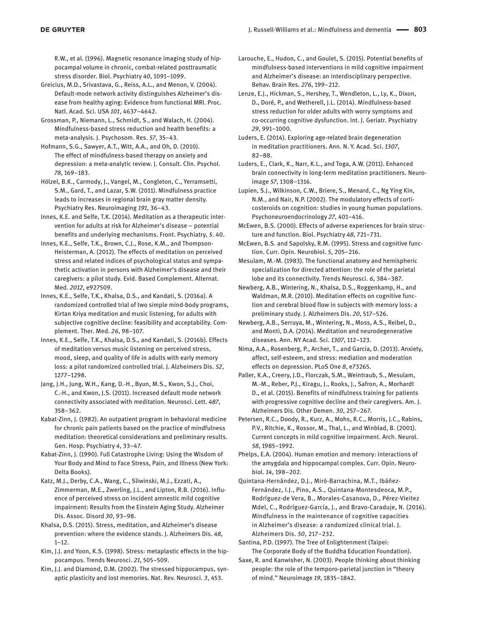R.W., et al. (1996). Magnetic resonance imaging study of hippocampal volume in chronic, combat-related posttraumatic stress disorder. Biol. Psychiatry *40*, 1091–1099.

Greicius, M.D., Srivastava, G., Reiss, A.L., and Menon, V. (2004). Default-mode network activity distinguishes Alzheimer's disease from healthy aging: Evidence from functional MRI. Proc. Natl. Acad. Sci. USA *101*, 4637–4642.

Grossman, P., Niemann, L., Schmidt, S., and Walach, H. (2004). Mindfulness-based stress reduction and health benefits: a meta-analysis. J. Psychosom. Res. *57*, 35–43.

Hofmann, S.G., Sawyer, A.T., Witt, A.A., and Oh, D. (2010). The effect of mindfulness-based therapy on anxiety and depression: a meta-analytic review. J. Consult. Clin. Psychol. *78*, 169–183.

Hölzel, B.K., Carmody, J., Vangel, M., Congleton, C., Yerramsetti, S.M., Gard, T., and Lazar, S.W. (2011). Mindfulness practice leads to increases in regional brain gray matter density. Psychiatry Res. Neuroimaging *191*, 36–43.

Innes, K.E. and Selfe, T.K. (2014). Meditation as a therapeutic intervention for adults at risk for Alzheimer's disease – potential benefits and underlying mechanisms. Front. Psychiatry, *5*. 40.

Innes, K.E., Selfe, T.K., Brown, C.J., Rose, K.M., and Thompson-Heisterman, A. (2012). The effects of meditation on perceived stress and related indices of psychological status and sympathetic activation in persons with Alzheimer's disease and their caregivers: a pilot study. Evid. Based Complement. Alternat. Med. *2012*, e927509.

Innes, K.E., Selfe, T.K., Khalsa, D.S., and Kandati, S. (2016a). A randomized controlled trial of two simple mind-body programs, Kirtan Kriya meditation and music listening, for adults with subjective cognitive decline: feasibility and acceptability. Complement. Ther. Med. *26*, 98–107.

Innes, K.E., Selfe, T.K., Khalsa, D.S., and Kandati, S. (2016b). Effects of meditation versus music listening on perceived stress, mood, sleep, and quality of life in adults with early memory loss: a pilot randomized controlled trial. J. Alzheimers Dis. *52*, 1277–1298.

Jang, J.H., Jung, W.H., Kang, D.-H., Byun, M.S., Kwon, S.J., Choi, C.-H., and Kwon, J.S. (2011). Increased default mode network connectivity associated with meditation. Neurosci. Lett. *487*, 358–362.

Kabat-Zinn, J. (1982). An outpatient program in behavioral medicine for chronic pain patients based on the practice of mindfulness meditation: theoretical considerations and preliminary results. Gen. Hosp. Psychiatry *4*, 33–47.

Kabat-Zinn, J. (1990). Full Catastrophe Living: Using the Wisdom of Your Body and Mind to Face Stress, Pain, and Illness (New York: Delta Books).

Katz, M.J., Derby, C.A., Wang, C., Sliwinski, M.J., Ezzati, A., Zimmerman, M.E., Zwerling, J.L., and Lipton, R.B. (2016). Influence of perceived stress on incident amnestic mild cognitive impairment: Results from the Einstein Aging Study. Alzheimer Dis. Assoc. Disord *30*, 93–98.

Khalsa, D.S. (2015). Stress, meditation, and Alzheimer's disease prevention: where the evidence stands. J. Alzheimers Dis. *48*,  $1 - 12$ .

Kim, J.J. and Yoon, K.S. (1998). Stress: metaplastic effects in the hippocampus. Trends Neurosci. *21*, 505–509.

Kim, J.J. and Diamond, D.M. (2002). The stressed hippocampus, synaptic plasticity and lost memories. Nat. Rev. Neurosci. *3*, 453.

Larouche, E., Hudon, C., and Goulet, S. (2015). Potential benefits of mindfulness-based interventions in mild cognitive impairment and Alzheimer's disease: an interdisciplinary perspective. Behav. Brain Res. *276*, 199–212.

Lenze, E.J., Hickman, S., Hershey, T., Wendleton, L., Ly, K., Dixon, D., Doré, P., and Wetherell, J.L. (2014). Mindfulness-based stress reduction for older adults with worry symptoms and co-occurring cognitive dysfunction. Int. J. Geriatr. Psychiatry *29*, 991–1000.

Luders, E. (2014). Exploring age-related brain degeneration in meditation practitioners. Ann. N. Y. Acad. Sci. *1307*, 82–88.

Luders, E., Clark, K., Narr, K.L., and Toga, A.W. (2011). Enhanced brain connectivity in long-term meditation practitioners. Neuroimage *57*, 1308–1316.

Lupien, S.J., Wilkinson, C.W., Briere, S., Menard, C., Ng Ying Kin, N.M., and Nair, N.P. (2002). The modulatory effects of corticosteroids on cognition: studies in young human populations. Psychoneuroendocrinology *27*, 401–416.

McEwen, B.S. (2000). Effects of adverse experiences for brain structure and function. Biol. Psychiatry *48*, 721–731.

McEwen, B.S. and Sapolsky, R.M. (1995). Stress and cognitive function. Curr. Opin. Neurobiol. *5*, 205–216.

Mesulam, M.-M. (1983). The functional anatomy and hemispheric specialization for directed attention: the role of the parietal lobe and its connectivity. Trends Neurosci. *6*, 384–387.

Newberg, A.B., Wintering, N., Khalsa, D.S., Roggenkamp, H., and Waldman, M.R. (2010). Meditation effects on cognitive function and cerebral blood flow in subjects with memory loss: a preliminary study. J. Alzheimers Dis. *20*, 517–526.

Newberg, A.B., Serruya, M., Wintering, N., Moss, A.S., Reibel, D., and Monti, D.A. (2014). Meditation and neurodegenerative diseases. Ann. NY Acad. Sci. *1307*, 112–123.

Nima, A.A., Rosenberg, P., Archer, T., and Garcia, D. (2013). Anxiety, affect, self-esteem, and stress: mediation and moderation effects on depression. PLoS One *8*, e73265.

Paller, K.A., Creery, J.D., Florczak, S.M., Weintraub, S., Mesulam, M.-M., Reber, P.J., Kiragu, J., Rooks, J., Safron, A., Morhardt D., et al. (2015). Benefits of mindfulness training for patients with progressive cognitive decline and their caregivers. Am. J. Alzheimers Dis. Other Demen. *30*, 257–267.

Petersen, R.C., Doody, R., Kurz, A., Mohs, R.C., Morris, J.C., Rabins, P.V., Ritchie, K., Rossor, M., Thal, L., and Winblad, B. (2001). Current concepts in mild cognitive impairment. Arch. Neurol. *58*, 1985–1992.

Phelps, E.A. (2004). Human emotion and memory: interactions of the amygdala and hippocampal complex. Curr. Opin. Neurobiol. *14*, 198–202.

Quintana-Hernández, D.J., Miró-Barrachina, M.T., Ibáñez-Fernández, I.J., Pino, A.S., Quintana-Montesdeoca, M.P., Rodríguez-de Vera, B., Morales-Casanova, D., Pérez-Vieitez Mdel, C., Rodríguez-García, J., and Bravo-Caraduje, N. (2016). Mindfulness in the maintenance of cognitive capacities in Alzheimer's disease: a randomized clinical trial. J. Alzheimers Dis. *50*, 217–232.

Santina, P.D. (1997). The Tree of Enlightenment (Taipei: The Corporate Body of the Buddha Education Foundation).

Saxe, R. and Kanwisher, N. (2003). People thinking about thinking people: the role of the temporo-parietal junction in "theory of mind." Neuroimage *19*, 1835–1842.